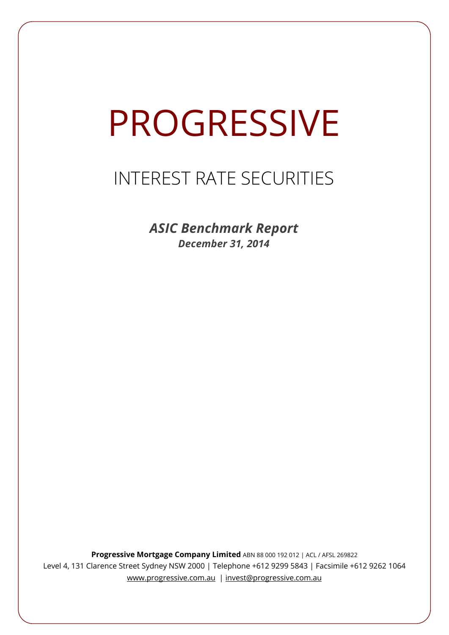# PROGRESSIVE

# INTEREST RATE SECURITIES

*ASIC Benchmark Report December 31, 2014*

**Progressive Mortgage Company Limited** ABN 88 000 192 012 | ACL / AFSL 269822 Level 4, 131 Clarence Street Sydney NSW 2000 | Telephone +612 9299 5843 | Facsimile +612 9262 1064 www.progressive.com.au | invest@progressive.com.au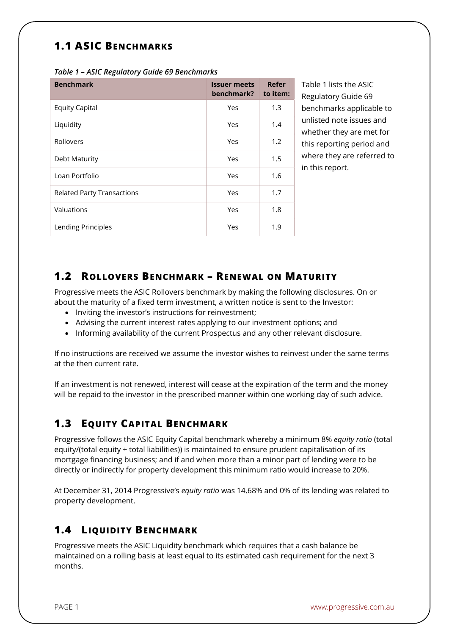# **1.1 ASIC BENCHMARKS**

| <b>Benchmark</b>                  | <b>Issuer meets</b><br>benchmark? | Refer<br>to item: |
|-----------------------------------|-----------------------------------|-------------------|
| <b>Equity Capital</b>             | Yes                               | 1.3               |
| Liquidity                         | Yes                               | 1.4               |
| Rollovers                         | Yes                               | 1.2               |
| Debt Maturity                     | Yes                               | 1.5               |
| Loan Portfolio                    | Yes                               | 1.6               |
| <b>Related Party Transactions</b> | Yes                               | 1.7               |
| Valuations                        | Yes                               | 1.8               |
| Lending Principles                | Yes                               | 1.9               |

*Table 1 – ASIC Regulatory Guide 69 Benchmarks* 

Table 1 lists the ASIC Regulatory Guide 69 benchmarks applicable to unlisted note issues and whether they are met for this reporting period and where they are referred to in this report.

#### **1.2 ROLLOVERS BENCHMARK – RENEWAL ON MATURITY**

Progressive meets the ASIC Rollovers benchmark by making the following disclosures. On or about the maturity of a fixed term investment, a written notice is sent to the Investor:

- Inviting the investor's instructions for reinvestment:
- Advising the current interest rates applying to our investment options; and
- Informing availability of the current Prospectus and any other relevant disclosure.

If no instructions are received we assume the investor wishes to reinvest under the same terms at the then current rate.

If an investment is not renewed, interest will cease at the expiration of the term and the money will be repaid to the investor in the prescribed manner within one working day of such advice.

# **1.3 EQUITY CAPITAL BENCHMARK**

Progressive follows the ASIC Equity Capital benchmark whereby a minimum 8% *equity ratio* (total equity/(total equity + total liabilities)) is maintained to ensure prudent capitalisation of its mortgage financing business; and if and when more than a minor part of lending were to be directly or indirectly for property development this minimum ratio would increase to 20%.

At December 31, 2014 Progressive's *equity ratio* was 14.68% and 0% of its lending was related to property development.

# **1.4 LIQUIDITY BENCHMARK**

Progressive meets the ASIC Liquidity benchmark which requires that a cash balance be maintained on a rolling basis at least equal to its estimated cash requirement for the next 3 months.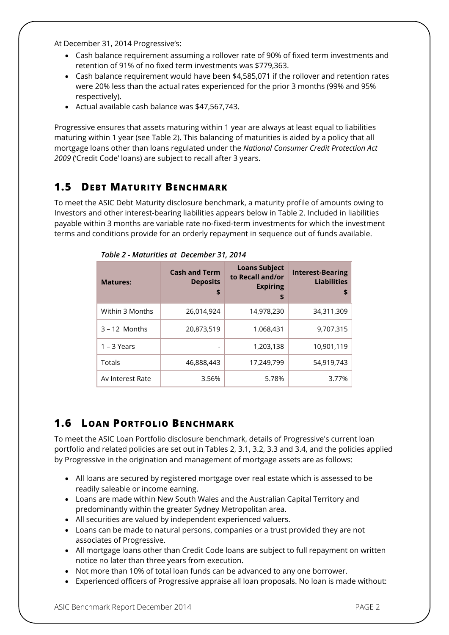At December 31, 2014 Progressive's:

- Cash balance requirement assuming a rollover rate of 90% of fixed term investments and retention of 91% of no fixed term investments was \$779,363.
- Cash balance requirement would have been \$4,585,071 if the rollover and retention rates were 20% less than the actual rates experienced for the prior 3 months (99% and 95% respectively).
- Actual available cash balance was \$47,567,743.

Progressive ensures that assets maturing within 1 year are always at least equal to liabilities maturing within 1 year (see Table 2). This balancing of maturities is aided by a policy that all mortgage loans other than loans regulated under the *National Consumer Credit Protection Act 2009* ('Credit Code' loans) are subject to recall after 3 years.

# **1.5 DEBT MATURITY BENCHMARK**

To meet the ASIC Debt Maturity disclosure benchmark, a maturity profile of amounts owing to Investors and other interest-bearing liabilities appears below in Table 2. Included in liabilities payable within 3 months are variable rate no-fixed-term investments for which the investment terms and conditions provide for an orderly repayment in sequence out of funds available.

| <b>Matures:</b>  | <b>Cash and Term</b><br><b>Deposits</b><br>\$ | <b>Loans Subject</b><br>to Recall and/or<br><b>Expiring</b><br>\$ | <b>Interest-Bearing</b><br><b>Liabilities</b><br>\$ |
|------------------|-----------------------------------------------|-------------------------------------------------------------------|-----------------------------------------------------|
| Within 3 Months  | 26,014,924                                    | 14,978,230                                                        | 34,311,309                                          |
| $3 - 12$ Months  | 20,873,519                                    | 1,068,431                                                         | 9,707,315                                           |
| $1 - 3$ Years    | -                                             | 1,203,138                                                         | 10,901,119                                          |
| Totals           | 46,888,443                                    | 17,249,799                                                        | 54,919,743                                          |
| Av Interest Rate | 3.56%                                         | 5.78%                                                             | 3.77%                                               |

*Table 2 - Maturities at December 31, 2014*

# **1.6 LOAN PORTFOLIO BENCHMARK**

To meet the ASIC Loan Portfolio disclosure benchmark, details of Progressive's current loan portfolio and related policies are set out in Tables 2, 3.1, 3.2, 3.3 and 3.4, and the policies applied by Progressive in the origination and management of mortgage assets are as follows:

- All loans are secured by registered mortgage over real estate which is assessed to be readily saleable or income earning.
- Loans are made within New South Wales and the Australian Capital Territory and predominantly within the greater Sydney Metropolitan area.
- All securities are valued by independent experienced valuers.
- Loans can be made to natural persons, companies or a trust provided they are not associates of Progressive.
- All mortgage loans other than Credit Code loans are subject to full repayment on written notice no later than three years from execution.
- Not more than 10% of total loan funds can be advanced to any one borrower.
- Experienced officers of Progressive appraise all loan proposals. No loan is made without: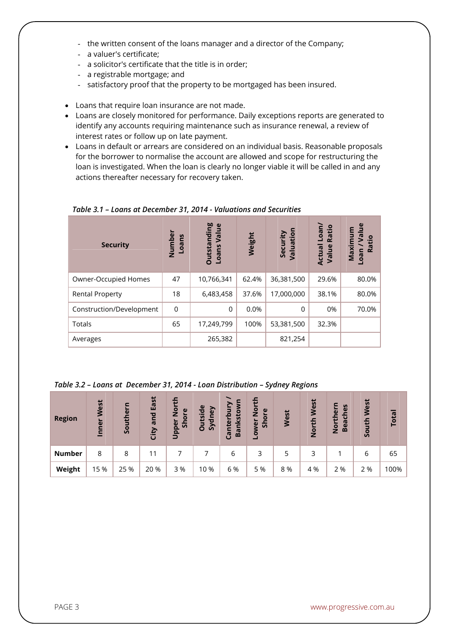- the written consent of the loans manager and a director of the Company;
- a valuer's certificate;
- a solicitor's certificate that the title is in order;
- a registrable mortgage; and
- satisfactory proof that the property to be mortgaged has been insured.
- Loans that require loan insurance are not made.
- Loans are closely monitored for performance. Daily exceptions reports are generated to identify any accounts requiring maintenance such as insurance renewal, a review of interest rates or follow up on late payment.
- Loans in default or arrears are considered on an individual basis. Reasonable proposals for the borrower to normalise the account are allowed and scope for restructuring the loan is investigated. When the loan is clearly no longer viable it will be called in and any actions thereafter necessary for recovery taken.

| <b>Security</b>          | Number<br>Loans | <b>Outstanding</b><br>$\omega$<br>Valu<br><b>Loans</b> | Weight | Valuation<br>Security | Loan/<br>Ratio<br><b>Actual</b><br>Value | $\mathbf{g}$<br>ā<br>Ratio<br>Maxim<br>oan |
|--------------------------|-----------------|--------------------------------------------------------|--------|-----------------------|------------------------------------------|--------------------------------------------|
| Owner-Occupied Homes     | 47              | 10,766,341                                             | 62.4%  | 36,381,500            | 29.6%                                    | 80.0%                                      |
| <b>Rental Property</b>   | 18              | 6,483,458                                              | 37.6%  | 17,000,000            | 38.1%                                    | 80.0%                                      |
| Construction/Development | 0               | $\Omega$                                               | 0.0%   | 0                     | 0%                                       | 70.0%                                      |
| Totals                   | 65              | 17,249,799                                             | 100%   | 53,381,500            | 32.3%                                    |                                            |
| Averages                 |                 | 265,382                                                |        | 821,254               |                                          |                                            |

*Table 3.1 – Loans at December 31, 2014 - Valuations and Securities*

*Table 3.2 – Loans at December 31, 2014 - Loan Distribution – Sydney Regions* 

| <b>Region</b> | West<br>Inner | Southern | East<br>and<br>City | s<br>$\frac{5}{2}$<br>$\mathbf{\omega}$<br>ă<br>Upper<br>$\overline{5}$ | <b>Outside</b><br>Sydney | Canterbur<br><b>Banksto</b> | ∓<br>$\overline{2}$<br>$\mathbf \omega$<br>້ŏ<br>န္တ<br>wer<br><u>م</u> | West | West<br>£<br>$\overline{2}$ | S<br>ë<br>$\omega$<br>$\overline{U}$<br>سد<br>Bea<br>i<br>Nor | West<br>South | Total   |
|---------------|---------------|----------|---------------------|-------------------------------------------------------------------------|--------------------------|-----------------------------|-------------------------------------------------------------------------|------|-----------------------------|---------------------------------------------------------------|---------------|---------|
| <b>Number</b> | 8             | 8        | 11                  |                                                                         |                          | 6                           | 3                                                                       | 5    | 3                           |                                                               | 6             | 65      |
| Weight        | 15 %          | 25 %     | 20 %                | 3 %                                                                     | 10 %                     | 6 %                         | 5 %                                                                     | 8 %  | 4 %                         | 2 %                                                           | 2 %           | $100\%$ |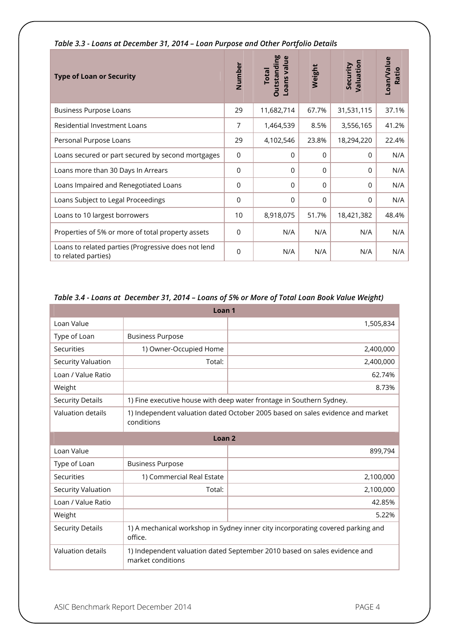| <b>Type of Loan or Security</b>                                            | Number         | <b>Dutstanding</b><br>Loans value<br><b>Total</b> | Weight   | Valuation<br>Security | Loan/Value<br>Ratio |
|----------------------------------------------------------------------------|----------------|---------------------------------------------------|----------|-----------------------|---------------------|
| <b>Business Purpose Loans</b>                                              | 29             | 11,682,714                                        | 67.7%    | 31,531,115            | 37.1%               |
| Residential Investment Loans                                               | 7              | 1,464,539                                         | 8.5%     | 3,556,165             | 41.2%               |
| Personal Purpose Loans                                                     | 29             | 4,102,546                                         | 23.8%    | 18,294,220            | 22.4%               |
| Loans secured or part secured by second mortgages                          | $\mathbf 0$    | 0                                                 | $\Omega$ | $\Omega$              | N/A                 |
| Loans more than 30 Days In Arrears                                         | $\overline{0}$ | $\Omega$                                          | $\Omega$ | $\Omega$              | N/A                 |
| Loans Impaired and Renegotiated Loans                                      | 0              | 0                                                 | $\Omega$ | $\Omega$              | N/A                 |
| Loans Subject to Legal Proceedings                                         | $\overline{0}$ | $\Omega$                                          | $\Omega$ | $\Omega$              | N/A                 |
| Loans to 10 largest borrowers                                              | 10             | 8,918,075                                         | 51.7%    | 18,421,382            | 48.4%               |
| Properties of 5% or more of total property assets                          | $\overline{0}$ | N/A                                               | N/A      | N/A                   | N/A                 |
| Loans to related parties (Progressive does not lend<br>to related parties) | $\overline{0}$ | N/A                                               | N/A      | N/A                   | N/A                 |

#### *Table 3.3 - Loans at December 31, 2014 – Loan Purpose and Other Portfolio Details*

#### *Table 3.4 - Loans at December 31, 2014 – Loans of 5% or More of Total Loan Book Value Weight)*

| Loan <sub>1</sub>        |                                                                                                |                                                                      |  |  |  |  |
|--------------------------|------------------------------------------------------------------------------------------------|----------------------------------------------------------------------|--|--|--|--|
| Loan Value               |                                                                                                | 1,505,834                                                            |  |  |  |  |
| Type of Loan             | <b>Business Purpose</b>                                                                        |                                                                      |  |  |  |  |
| Securities               | 1) Owner-Occupied Home                                                                         | 2,400,000                                                            |  |  |  |  |
| Security Valuation       | Total:                                                                                         | 2,400,000                                                            |  |  |  |  |
| Loan / Value Ratio       |                                                                                                | 62.74%                                                               |  |  |  |  |
| Weight                   |                                                                                                | 8.73%                                                                |  |  |  |  |
| <b>Security Details</b>  |                                                                                                | 1) Fine executive house with deep water frontage in Southern Sydney. |  |  |  |  |
| <b>Valuation details</b> | 1) Independent valuation dated October 2005 based on sales evidence and market<br>conditions   |                                                                      |  |  |  |  |
| Loan <sub>2</sub>        |                                                                                                |                                                                      |  |  |  |  |
| Loan Value               |                                                                                                | 899,794                                                              |  |  |  |  |
| Type of Loan             | <b>Business Purpose</b>                                                                        |                                                                      |  |  |  |  |
| Securities               | 1) Commercial Real Estate                                                                      | 2,100,000                                                            |  |  |  |  |
| Security Valuation       | Total:                                                                                         | 2,100,000                                                            |  |  |  |  |
| Loan / Value Ratio       |                                                                                                | 42.85%                                                               |  |  |  |  |
| Weight                   |                                                                                                | 5.22%                                                                |  |  |  |  |
| <b>Security Details</b>  | 1) A mechanical workshop in Sydney inner city incorporating covered parking and<br>office.     |                                                                      |  |  |  |  |
| <b>Valuation details</b> | 1) Independent valuation dated September 2010 based on sales evidence and<br>market conditions |                                                                      |  |  |  |  |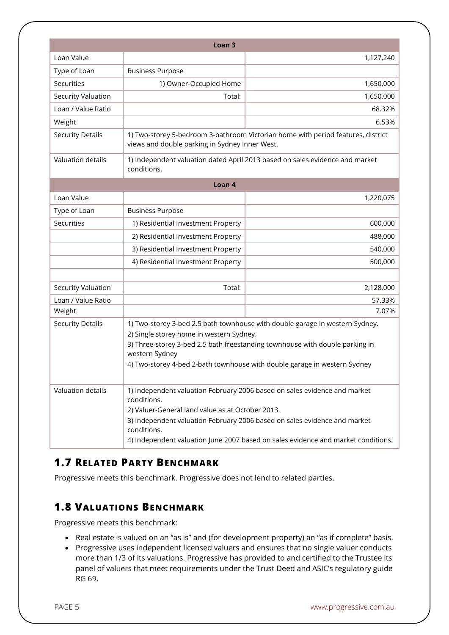|                         | Loan <sub>3</sub>                                                                                                                                                                                                                                                                                                             |                                                                              |  |  |  |  |
|-------------------------|-------------------------------------------------------------------------------------------------------------------------------------------------------------------------------------------------------------------------------------------------------------------------------------------------------------------------------|------------------------------------------------------------------------------|--|--|--|--|
| Loan Value              |                                                                                                                                                                                                                                                                                                                               | 1,127,240                                                                    |  |  |  |  |
| Type of Loan            | <b>Business Purpose</b>                                                                                                                                                                                                                                                                                                       |                                                                              |  |  |  |  |
| Securities              | 1) Owner-Occupied Home                                                                                                                                                                                                                                                                                                        | 1,650,000                                                                    |  |  |  |  |
| Security Valuation      | Total:                                                                                                                                                                                                                                                                                                                        | 1,650,000                                                                    |  |  |  |  |
| Loan / Value Ratio      |                                                                                                                                                                                                                                                                                                                               | 68.32%                                                                       |  |  |  |  |
| Weight                  |                                                                                                                                                                                                                                                                                                                               | 6.53%                                                                        |  |  |  |  |
| <b>Security Details</b> | 1) Two-storey 5-bedroom 3-bathroom Victorian home with period features, district<br>views and double parking in Sydney Inner West.                                                                                                                                                                                            |                                                                              |  |  |  |  |
| Valuation details       | conditions.                                                                                                                                                                                                                                                                                                                   | 1) Independent valuation dated April 2013 based on sales evidence and market |  |  |  |  |
|                         | Loan 4                                                                                                                                                                                                                                                                                                                        |                                                                              |  |  |  |  |
| Loan Value              |                                                                                                                                                                                                                                                                                                                               | 1,220,075                                                                    |  |  |  |  |
| Type of Loan            | <b>Business Purpose</b>                                                                                                                                                                                                                                                                                                       |                                                                              |  |  |  |  |
| Securities              | 1) Residential Investment Property                                                                                                                                                                                                                                                                                            | 600,000                                                                      |  |  |  |  |
|                         | 2) Residential Investment Property<br>488,000                                                                                                                                                                                                                                                                                 |                                                                              |  |  |  |  |
|                         | 3) Residential Investment Property<br>540,000                                                                                                                                                                                                                                                                                 |                                                                              |  |  |  |  |
|                         | 4) Residential Investment Property                                                                                                                                                                                                                                                                                            | 500,000                                                                      |  |  |  |  |
| Security Valuation      | Total:                                                                                                                                                                                                                                                                                                                        | 2,128,000                                                                    |  |  |  |  |
| Loan / Value Ratio      |                                                                                                                                                                                                                                                                                                                               | 57.33%                                                                       |  |  |  |  |
| Weight                  |                                                                                                                                                                                                                                                                                                                               | 7.07%                                                                        |  |  |  |  |
| <b>Security Details</b> | 1) Two-storey 3-bed 2.5 bath townhouse with double garage in western Sydney.<br>2) Single storey home in western Sydney.<br>3) Three-storey 3-bed 2.5 bath freestanding townhouse with double parking in<br>western Sydney<br>4) Two-storey 4-bed 2-bath townhouse with double garage in western Sydney                       |                                                                              |  |  |  |  |
| Valuation details       | 1) Independent valuation February 2006 based on sales evidence and market<br>conditions.<br>2) Valuer-General land value as at October 2013.<br>3) Independent valuation February 2006 based on sales evidence and market<br>conditions.<br>4) Independent valuation June 2007 based on sales evidence and market conditions. |                                                                              |  |  |  |  |

# **1.7 RELATED PARTY BENCHMARK**

Progressive meets this benchmark. Progressive does not lend to related parties.

# **1.8 VALUATIONS BENCHMARK**

Progressive meets this benchmark:

- Real estate is valued on an "as is" and (for development property) an "as if complete" basis.
- Progressive uses independent licensed valuers and ensures that no single valuer conducts more than 1/3 of its valuations. Progressive has provided to and certified to the Trustee its panel of valuers that meet requirements under the Trust Deed and ASIC's regulatory guide RG 69.